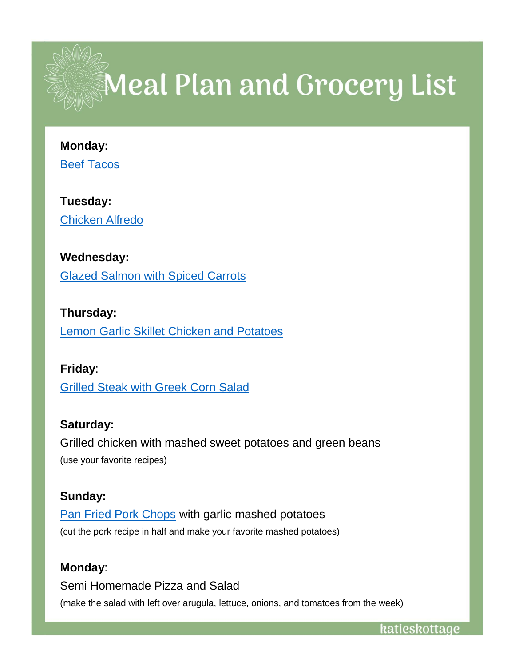

# $\mathbb{Z}_2$  Meal Plan and Grocery List

#### **Monday:**

[Beef Tacos](https://www.bettycrocker.com/recipes/easy-beef-tacos/426c261d-b2eb-4e22-9cba-0066f3335591)

**Tuesday:**  [Chicken Alfredo](https://www.campbells.com/kitchen/recipes/chicken-alfredo/)

### **Wednesday:**

[Glazed Salmon with Spiced Carrots](https://www.foodnetwork.com/recipes/food-network-kitchen/glazed-salmon-with-spiced-carrots-recipe-1973319)

**Thursday:** [Lemon Garlic Skillet Chicken and Potatoes](https://www.foodnetwork.com/recipes/food-network-kitchen/lemon-garlic-skillet-chicken-and-potatoes-3885670)

## **Friday**:

[Grilled Steak with Greek Corn Salad](https://www.foodnetwork.com/recipes/food-network-kitchen/grilled-steak-with-greek-corn-salad-3562019)

# **Saturday:**

Grilled chicken with mashed sweet potatoes and green beans (use your favorite recipes)

## **Sunday:**

[Pan Fried Pork Chops](https://www.foodnetwork.com/recipes/ree-drummond/pan-fried-pork-chops-recipe-1989074) with garlic mashed potatoes (cut the pork recipe in half and make your favorite mashed potatoes)

## **Monday**:

Semi Homemade Pizza and Salad (make the salad with left over arugula, lettuce, onions, and tomatoes from the week)